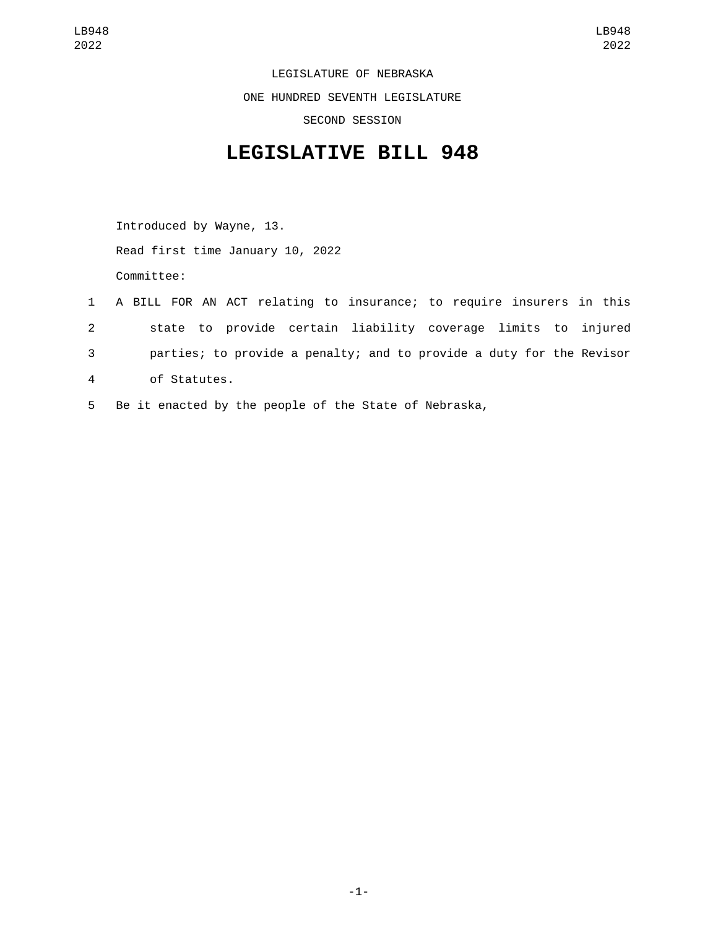LEGISLATURE OF NEBRASKA ONE HUNDRED SEVENTH LEGISLATURE SECOND SESSION

## **LEGISLATIVE BILL 948**

Introduced by Wayne, 13. Read first time January 10, 2022 Committee:

- 1 A BILL FOR AN ACT relating to insurance; to require insurers in this 2 state to provide certain liability coverage limits to injured 3 parties; to provide a penalty; and to provide a duty for the Revisor of Statutes.4
- 5 Be it enacted by the people of the State of Nebraska,